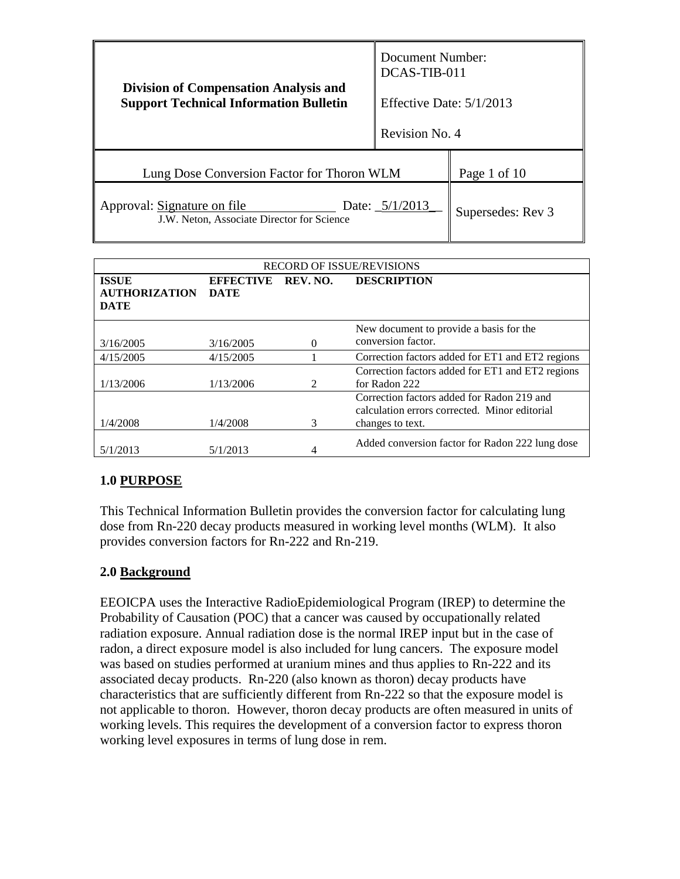|                                                                                               | Document Number:<br>DCAS-TIB-011 |                   |
|-----------------------------------------------------------------------------------------------|----------------------------------|-------------------|
| <b>Division of Compensation Analysis and</b><br><b>Support Technical Information Bulletin</b> | Effective Date: $5/1/2013$       |                   |
|                                                                                               | Revision No. 4                   |                   |
| Lung Dose Conversion Factor for Thoron WLM                                                    |                                  | Page 1 of 10      |
| Approval: Signature on file<br>Date: $5/1/2013$<br>J.W. Neton, Associate Director for Science |                                  | Supersedes: Rev 3 |

| <b>RECORD OF ISSUE/REVISIONS</b>                    |                                 |                             |                                                                                                                 |
|-----------------------------------------------------|---------------------------------|-----------------------------|-----------------------------------------------------------------------------------------------------------------|
| <b>ISSUE</b><br><b>AUTHORIZATION</b><br><b>DATE</b> | <b>EFFECTIVE</b><br><b>DATE</b> | REV. NO.                    | <b>DESCRIPTION</b>                                                                                              |
| 3/16/2005                                           | 3/16/2005                       | 0                           | New document to provide a basis for the<br>conversion factor.                                                   |
| 4/15/2005                                           | 4/15/2005                       |                             | Correction factors added for ET1 and ET2 regions                                                                |
| 1/13/2006                                           | 1/13/2006                       | $\mathcal{D}_{\mathcal{L}}$ | Correction factors added for ET1 and ET2 regions<br>for Radon 222                                               |
| 1/4/2008                                            | 1/4/2008                        | 3                           | Correction factors added for Radon 219 and<br>calculation errors corrected. Minor editorial<br>changes to text. |
| 5/1/2013                                            | 5/1/2013                        |                             | Added conversion factor for Radon 222 lung dose                                                                 |

# **1.0 PURPOSE**

This Technical Information Bulletin provides the conversion factor for calculating lung dose from Rn-220 decay products measured in working level months (WLM). It also provides conversion factors for Rn-222 and Rn-219.

#### **2.0 Background**

EEOICPA uses the Interactive RadioEpidemiological Program (IREP) to determine the Probability of Causation (POC) that a cancer was caused by occupationally related radiation exposure. Annual radiation dose is the normal IREP input but in the case of radon, a direct exposure model is also included for lung cancers. The exposure model was based on studies performed at uranium mines and thus applies to Rn-222 and its associated decay products. Rn-220 (also known as thoron) decay products have characteristics that are sufficiently different from Rn-222 so that the exposure model is not applicable to thoron. However, thoron decay products are often measured in units of working levels. This requires the development of a conversion factor to express thoron working level exposures in terms of lung dose in rem.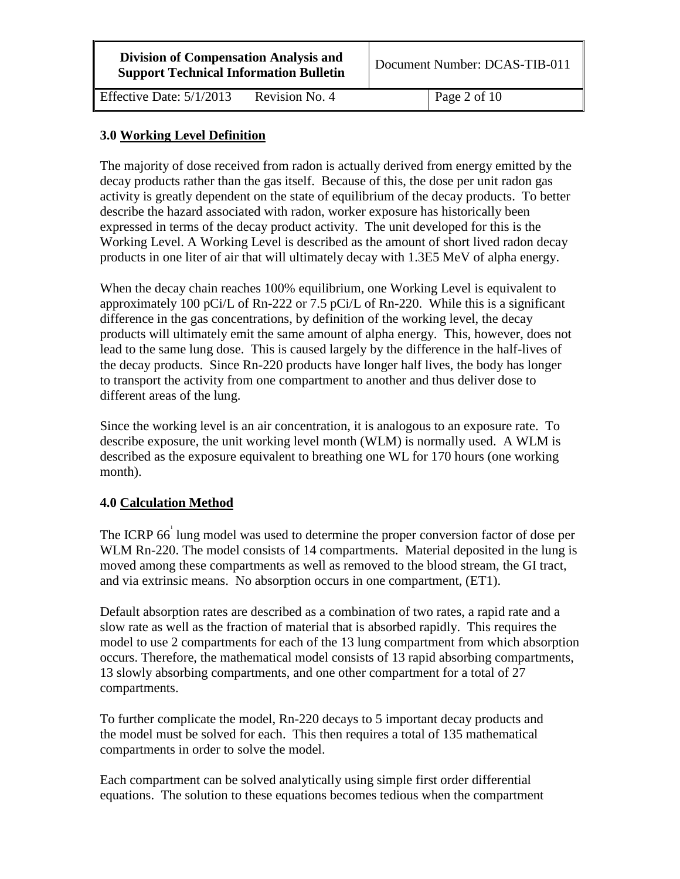| <b>Division of Compensation Analysis and</b>  |
|-----------------------------------------------|
| <b>Support Technical Information Bulletin</b> |

Document Number: DCAS-TIB-011

Effective Date:  $5/1/2013$  Revision No. 4 Page 2 of 10

# **3.0 Working Level Definition**

The majority of dose received from radon is actually derived from energy emitted by the decay products rather than the gas itself. Because of this, the dose per unit radon gas activity is greatly dependent on the state of equilibrium of the decay products. To better describe the hazard associated with radon, worker exposure has historically been expressed in terms of the decay product activity. The unit developed for this is the Working Level. A Working Level is described as the amount of short lived radon decay products in one liter of air that will ultimately decay with 1.3E5 MeV of alpha energy.

When the decay chain reaches 100% equilibrium, one Working Level is equivalent to approximately 100 pCi/L of Rn-222 or 7.5 pCi/L of Rn-220. While this is a significant difference in the gas concentrations, by definition of the working level, the decay products will ultimately emit the same amount of alpha energy. This, however, does not lead to the same lung dose. This is caused largely by the difference in the half-lives of the decay products. Since Rn-220 products have longer half lives, the body has longer to transport the activity from one compartment to another and thus deliver dose to different areas of the lung.

Since the working level is an air concentration, it is analogous to an exposure rate. To describe exposure, the unit working level month (WLM) is normally used. A WLM is described as the exposure equivalent to breathing one WL for 170 hours (one working month).

#### **4.0 Calculation Method**

The ICRP 66<sup> $\degree$ </sup> lung model was used to determine the proper conversion factor of dose per WLM Rn-220. The model consists of 14 compartments. Material deposited in the lung is moved among these compartments as well as removed to the blood stream, the GI tract, and via extrinsic means. No absorption occurs in one compartment, (ET1).

Default absorption rates are described as a combination of two rates, a rapid rate and a slow rate as well as the fraction of material that is absorbed rapidly. This requires the model to use 2 compartments for each of the 13 lung compartment from which absorption occurs. Therefore, the mathematical model consists of 13 rapid absorbing compartments, 13 slowly absorbing compartments, and one other compartment for a total of 27 compartments.

To further complicate the model, Rn-220 decays to 5 important decay products and the model must be solved for each. This then requires a total of 135 mathematical compartments in order to solve the model.

Each compartment can be solved analytically using simple first order differential equations. The solution to these equations becomes tedious when the compartment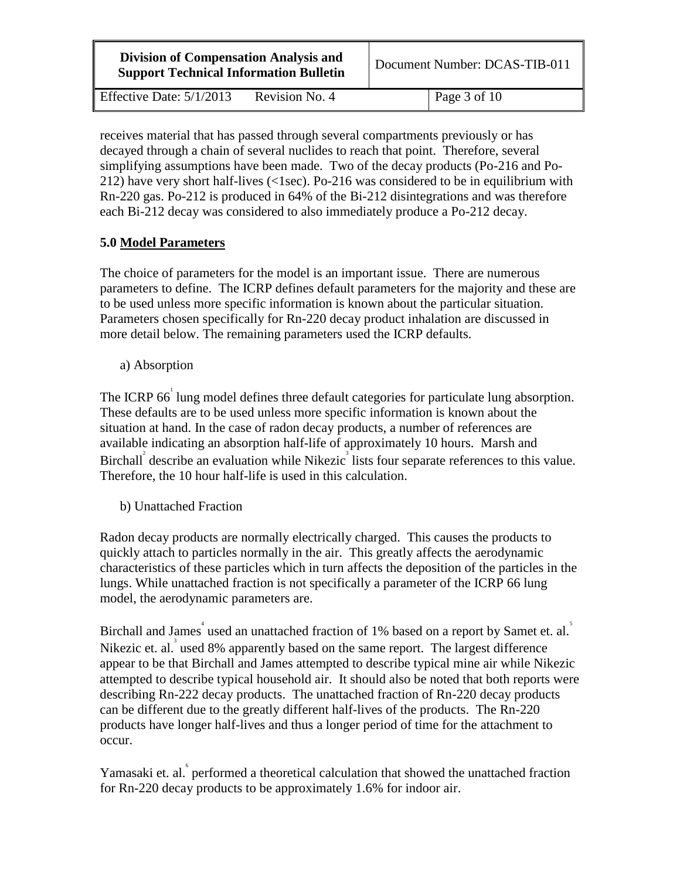| <b>Division of Compensation Analysis and</b><br><b>Support Technical Information Bulletin</b> |                | Document Number: DCAS-TIB-011 |                      |
|-----------------------------------------------------------------------------------------------|----------------|-------------------------------|----------------------|
| Effective Date: $5/1/2013$                                                                    | Revision No. 4 |                               | $\vert$ Page 3 of 10 |

receives material that has passed through several compartments previously or has decayed through a chain of several nuclides to reach that point. Therefore, several simplifying assumptions have been made. Two of the decay products (Po-216 and Po-212) have very short half-lives (<1sec). Po-216 was considered to be in equilibrium with Rn-220 gas. Po-212 is produced in 64% of the Bi-212 disintegrations and was therefore each Bi-212 decay was considered to also immediately produce a Po-212 decay.

# **5.0 Model Parameters**

The choice of parameters for the model is an important issue. There are numerous parameters to define. The ICRP defines default parameters for the majority and these are to be used unless more specific information is known about the particular situation. Parameters chosen specifically for Rn-220 decay product inhalation are discussed in more detail below. The remaining parameters used the ICRP defaults.

a) Absorption

The ICRP 66<sup> $\degree$ </sup> lung model defines three default categories for particulate lung absorption. These defaults are to be used unless more specific information is known about the situation at hand. In the case of radon decay products, a number of references are available indicating an absorption half-life of approximately 10 hours. Marsh and Birchall<sup>2</sup> describe an evaluation while Nikezic<sup>3</sup> lists four separate references to this value. Therefore, the 10 hour half-life is used in this calculation.

b) Unattached Fraction

Radon decay products are normally electrically charged. This causes the products to quickly attach to particles normally in the air. This greatly affects the aerodynamic characteristics of these particles which in turn affects the deposition of the particles in the lungs. While unattached fraction is not specifically a parameter of the ICRP 66 lung model, the aerodynamic parameters are.

Birchall and James<sup>4</sup> used an unattached fraction of 1% based on a report by Samet et. al. Nikezic et. al.<sup>3</sup> used 8% apparently based on the same report. The largest difference appear to be that Birchall and James attempted to describe typical mine air while Nikezic attempted to describe typical household air. It should also be noted that both reports were describing Rn-222 decay products. The unattached fraction of Rn-220 decay products can be different due to the greatly different half-lives of the products. The Rn-220 products have longer half-lives and thus a longer period of time for the attachment to occur.

Yamasaki et. al. performed a theoretical calculation that showed the unattached fraction for Rn-220 decay products to be approximately 1.6% for indoor air.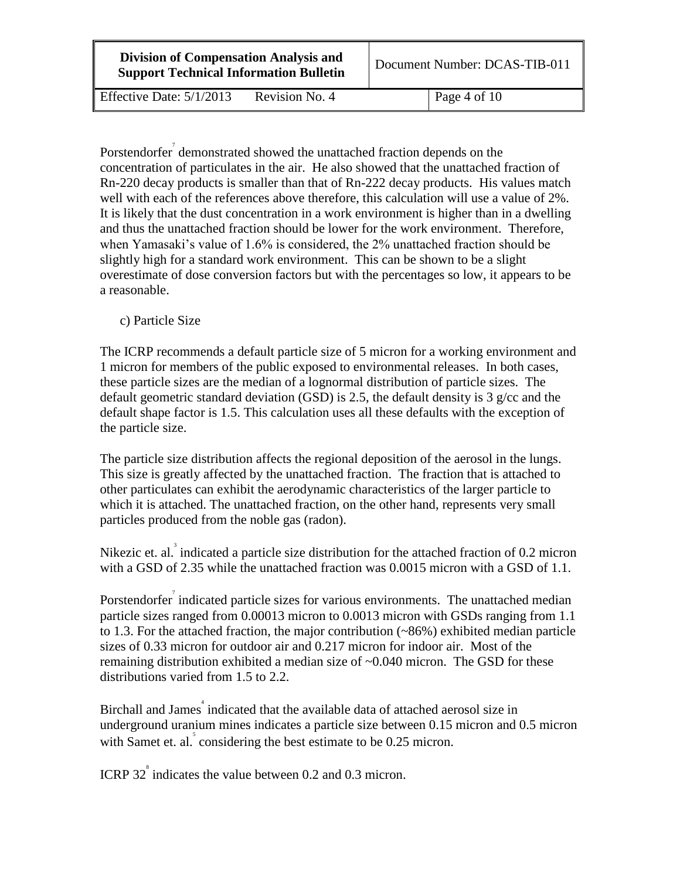| <b>Division of Compensation Analysis and</b>  |
|-----------------------------------------------|
| <b>Support Technical Information Bulletin</b> |

Effective Date:  $5/1/2013$  Revision No. 4 Page 4 of 10

Porstendorfer<sup>7</sup> demonstrated showed the unattached fraction depends on the concentration of particulates in the air. He also showed that the unattached fraction of Rn-220 decay products is smaller than that of Rn-222 decay products. His values match well with each of the references above therefore, this calculation will use a value of 2%. It is likely that the dust concentration in a work environment is higher than in a dwelling and thus the unattached fraction should be lower for the work environment. Therefore, when Yamasaki's value of 1.6% is considered, the 2% unattached fraction should be slightly high for a standard work environment. This can be shown to be a slight overestimate of dose conversion factors but with the percentages so low, it appears to be a reasonable.

c) Particle Size

The ICRP recommends a default particle size of 5 micron for a working environment and 1 micron for members of the public exposed to environmental releases. In both cases, these particle sizes are the median of a lognormal distribution of particle sizes. The default geometric standard deviation (GSD) is 2.5, the default density is 3 g/cc and the default shape factor is 1.5. This calculation uses all these defaults with the exception of the particle size.

The particle size distribution affects the regional deposition of the aerosol in the lungs. This size is greatly affected by the unattached fraction. The fraction that is attached to other particulates can exhibit the aerodynamic characteristics of the larger particle to which it is attached. The unattached fraction, on the other hand, represents very small particles produced from the noble gas (radon).

Nikezic et. al. indicated a particle size distribution for the attached fraction of 0.2 micron with a GSD of 2.35 while the unattached fraction was 0.0015 micron with a GSD of 1.1.

Porstendorfer indicated particle sizes for various environments. The unattached median particle sizes ranged from 0.00013 micron to 0.0013 micron with GSDs ranging from 1.1 to 1.3. For the attached fraction, the major contribution  $(\sim 86\%)$  exhibited median particle sizes of 0.33 micron for outdoor air and 0.217 micron for indoor air. Most of the remaining distribution exhibited a median size of ~0.040 micron. The GSD for these distributions varied from 1.5 to 2.2.

Birchall and James<sup>4</sup> indicated that the available data of attached aerosol size in underground uranium mines indicates a particle size between 0.15 micron and 0.5 micron with Samet et. al.<sup>5</sup> considering the best estimate to be 0.25 micron.

ICRP 32<sup><sup>\*</sup></sup> indicates the value between 0.2 and 0.3 micron.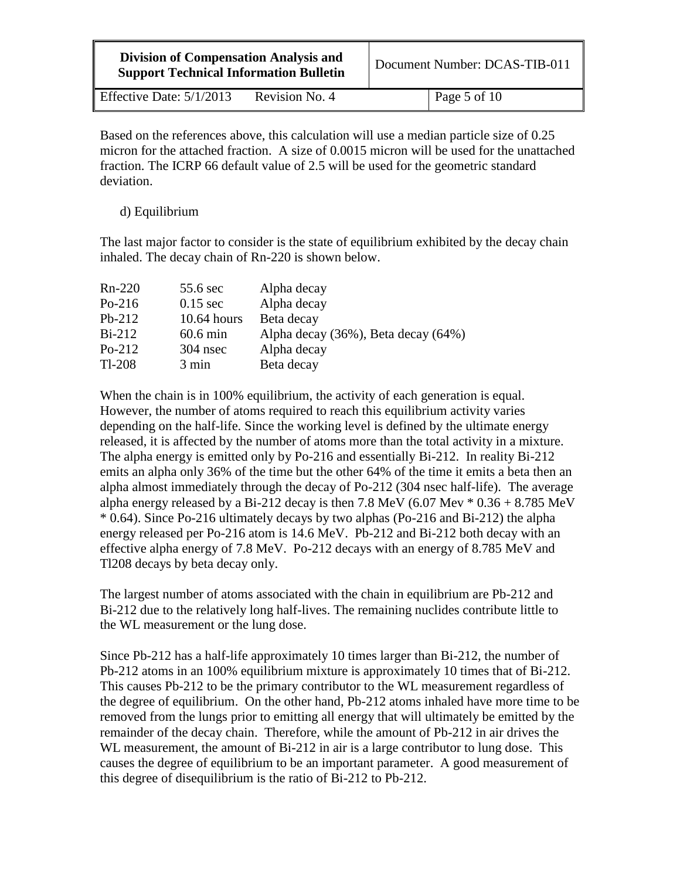| <b>Division of Compensation Analysis and</b><br><b>Support Technical Information Bulletin</b> |                | Document Number: DCAS-TIB-011 |
|-----------------------------------------------------------------------------------------------|----------------|-------------------------------|
| Effective Date: $5/1/2013$                                                                    | Revision No. 4 | $\vert$ Page 5 of 10          |

Based on the references above, this calculation will use a median particle size of 0.25 micron for the attached fraction. A size of 0.0015 micron will be used for the unattached fraction. The ICRP 66 default value of 2.5 will be used for the geometric standard deviation.

d) Equilibrium

The last major factor to consider is the state of equilibrium exhibited by the decay chain inhaled. The decay chain of Rn-220 is shown below.

| $Rn-220$ | 55.6 sec      | Alpha decay                         |
|----------|---------------|-------------------------------------|
| $Po-216$ | $0.15$ sec    | Alpha decay                         |
| $Pb-212$ | $10.64$ hours | Beta decay                          |
| $Bi-212$ | $60.6$ min    | Alpha decay (36%), Beta decay (64%) |
| $Po-212$ | $304$ nsec    | Alpha decay                         |
| $Tl-208$ | 3 min         | Beta decay                          |

When the chain is in 100% equilibrium, the activity of each generation is equal. However, the number of atoms required to reach this equilibrium activity varies depending on the half-life. Since the working level is defined by the ultimate energy released, it is affected by the number of atoms more than the total activity in a mixture. The alpha energy is emitted only by Po-216 and essentially Bi-212. In reality Bi-212 emits an alpha only 36% of the time but the other 64% of the time it emits a beta then an alpha almost immediately through the decay of Po-212 (304 nsec half-life). The average alpha energy released by a Bi-212 decay is then 7.8 MeV (6.07 Mev  $*$  0.36 + 8.785 MeV \* 0.64). Since Po-216 ultimately decays by two alphas (Po-216 and Bi-212) the alpha energy released per Po-216 atom is 14.6 MeV. Pb-212 and Bi-212 both decay with an effective alpha energy of 7.8 MeV. Po-212 decays with an energy of 8.785 MeV and Tl208 decays by beta decay only.

The largest number of atoms associated with the chain in equilibrium are Pb-212 and Bi-212 due to the relatively long half-lives. The remaining nuclides contribute little to the WL measurement or the lung dose.

Since Pb-212 has a half-life approximately 10 times larger than Bi-212, the number of Pb-212 atoms in an 100% equilibrium mixture is approximately 10 times that of Bi-212. This causes Pb-212 to be the primary contributor to the WL measurement regardless of the degree of equilibrium. On the other hand, Pb-212 atoms inhaled have more time to be removed from the lungs prior to emitting all energy that will ultimately be emitted by the remainder of the decay chain. Therefore, while the amount of Pb-212 in air drives the WL measurement, the amount of Bi-212 in air is a large contributor to lung dose. This causes the degree of equilibrium to be an important parameter. A good measurement of this degree of disequilibrium is the ratio of Bi-212 to Pb-212.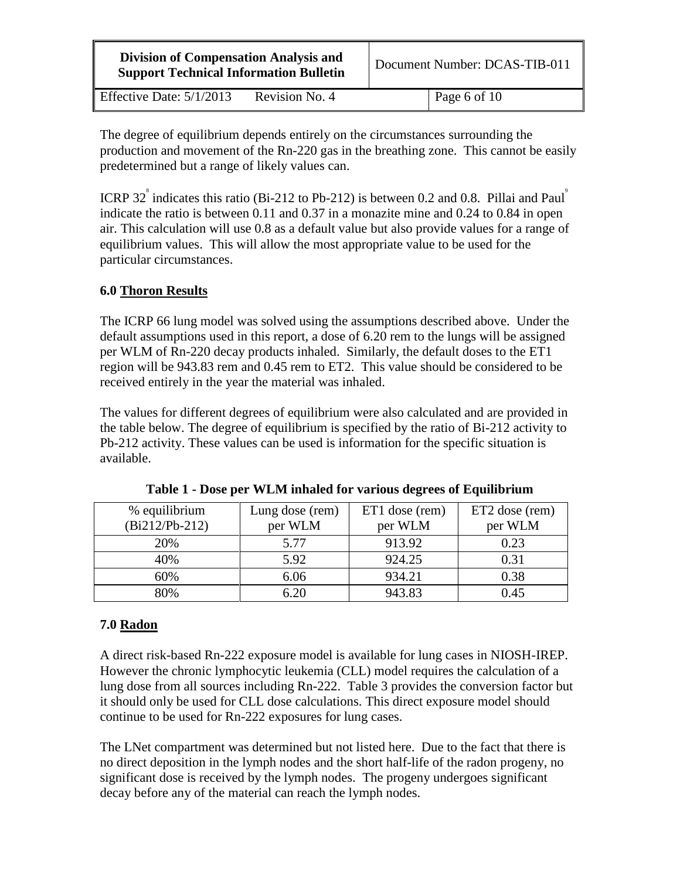| <b>Division of Compensation Analysis and</b><br><b>Support Technical Information Bulletin</b> |                | Document Number: DCAS-TIB-011 |
|-----------------------------------------------------------------------------------------------|----------------|-------------------------------|
| Effective Date: $5/1/2013$                                                                    | Revision No. 4 | Page 6 of $10$                |

The degree of equilibrium depends entirely on the circumstances surrounding the production and movement of the Rn-220 gas in the breathing zone. This cannot be easily predetermined but a range of likely values can.

ICRP 32<sup> $\degree$ </sup> indicates this ratio (Bi-212 to Pb-212) is between 0.2 and 0.8. Pillai and Paul<sup>2</sup> indicate the ratio is between 0.11 and 0.37 in a monazite mine and 0.24 to 0.84 in open air. This calculation will use 0.8 as a default value but also provide values for a range of equilibrium values. This will allow the most appropriate value to be used for the particular circumstances.

# **6.0 Thoron Results**

The ICRP 66 lung model was solved using the assumptions described above. Under the default assumptions used in this report, a dose of 6.20 rem to the lungs will be assigned per WLM of Rn-220 decay products inhaled. Similarly, the default doses to the ET1 region will be 943.83 rem and 0.45 rem to ET2. This value should be considered to be received entirely in the year the material was inhaled.

The values for different degrees of equilibrium were also calculated and are provided in the table below. The degree of equilibrium is specified by the ratio of Bi-212 activity to Pb-212 activity. These values can be used is information for the specific situation is available.

| % equilibrium<br>$(Bi212/Pb-212)$ | Lung dose (rem)<br>per WLM | ET1 dose (rem)<br>per WLM | ET2 dose (rem)<br>per WLM |
|-----------------------------------|----------------------------|---------------------------|---------------------------|
| 20%                               | 5.77                       | 913.92                    | 0.23                      |
| 40%                               | 5.92                       | 924.25                    | 0.31                      |
| 60%                               | 6.06                       | 934.21                    | 0.38                      |
| 80%                               | 6.20                       | 943.83                    | 0.45                      |

**Table 1 - Dose per WLM inhaled for various degrees of Equilibrium** 

#### **7.0 Radon**

A direct risk-based Rn-222 exposure model is available for lung cases in NIOSH-IREP. However the chronic lymphocytic leukemia (CLL) model requires the calculation of a lung dose from all sources including Rn-222. Table 3 provides the conversion factor but it should only be used for CLL dose calculations. This direct exposure model should continue to be used for Rn-222 exposures for lung cases.

The LNet compartment was determined but not listed here. Due to the fact that there is no direct deposition in the lymph nodes and the short half-life of the radon progeny, no significant dose is received by the lymph nodes. The progeny undergoes significant decay before any of the material can reach the lymph nodes.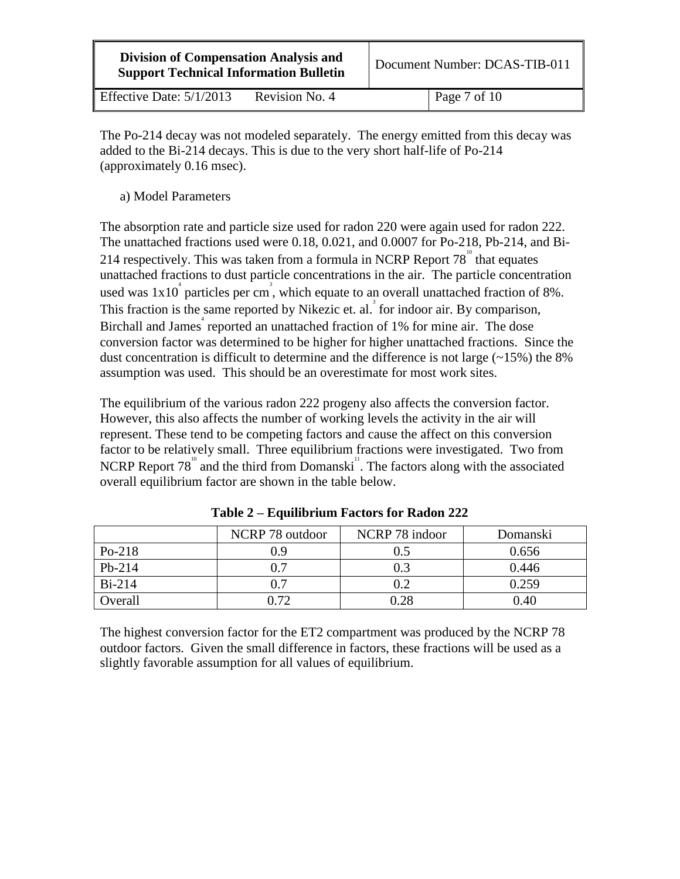| <b>Division of Compensation Analysis and</b><br><b>Support Technical Information Bulletin</b> |                | Document Number: DCAS-TIB-011 |  |
|-----------------------------------------------------------------------------------------------|----------------|-------------------------------|--|
| Effective Date: 5/1/2013                                                                      | Revision No. 4 | $\vert$ Page 7 of 10          |  |

The Po-214 decay was not modeled separately. The energy emitted from this decay was added to the Bi-214 decays. This is due to the very short half-life of Po-214 (approximately 0.16 msec).

a) Model Parameters

The absorption rate and particle size used for radon 220 were again used for radon 222. The unattached fractions used were 0.18, 0.021, and 0.0007 for Po-218, Pb-214, and Bi-214 respectively. This was taken from a formula in NCRP Report  $78^{\degree}$  that equates unattached fractions to dust particle concentrations in the air. The particle concentration used was  $1x10^4$  particles per cm<sup>3</sup>, which equate to an overall unattached fraction of 8%. This fraction is the same reported by Nikezic et. al.<sup>3</sup> for indoor air. By comparison, Birchall and James<sup>4</sup> reported an unattached fraction of 1% for mine air. The dose conversion factor was determined to be higher for higher unattached fractions. Since the dust concentration is difficult to determine and the difference is not large  $(\sim 15\%)$  the 8% assumption was used. This should be an overestimate for most work sites.

The equilibrium of the various radon 222 progeny also affects the conversion factor. However, this also affects the number of working levels the activity in the air will represent. These tend to be competing factors and cause the affect on this conversion factor to be relatively small. Three equilibrium fractions were investigated. Two from NCRP Report  $78^{\degree}$  and the third from Domanski<sup>"</sup>. The factors along with the associated overall equilibrium factor are shown in the table below.

|          | NCRP 78 outdoor | NCRP 78 indoor | Domanski |
|----------|-----------------|----------------|----------|
| $Po-218$ | 0.9             | 0.5            | 0.656    |
| $Pb-214$ | 0.7             | 0.3            | 0.446    |
| $Bi-214$ | 0.7             | 0.2            | 0.259    |
| Overall  | 0.72            | 0.28           | 0.40     |

**Table 2 – Equilibrium Factors for Radon 222** 

The highest conversion factor for the ET2 compartment was produced by the NCRP 78 outdoor factors. Given the small difference in factors, these fractions will be used as a slightly favorable assumption for all values of equilibrium.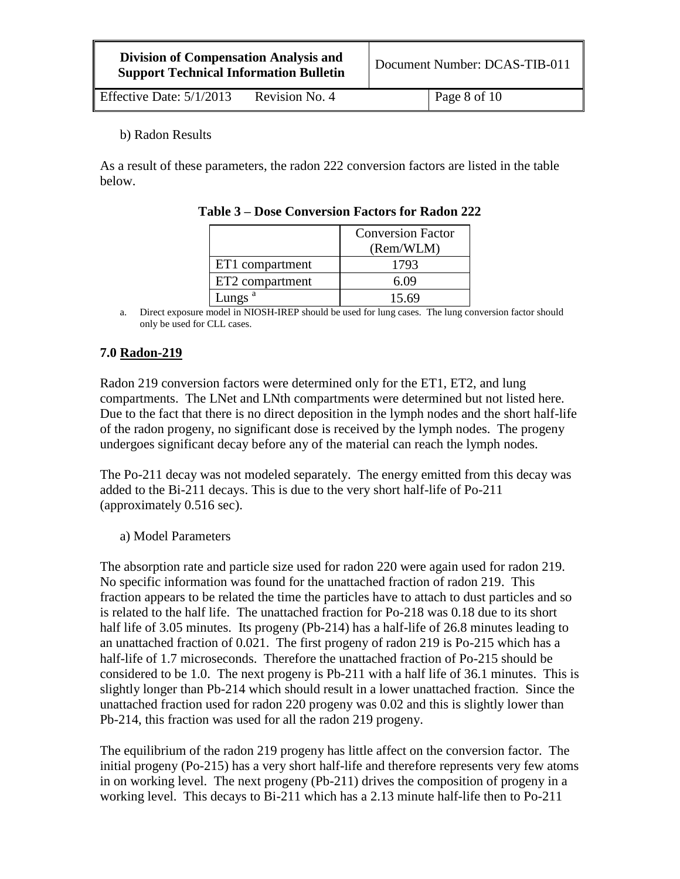| <b>Division of Compensation Analysis and</b>  | Document Number: DCAS-TIB-011 |
|-----------------------------------------------|-------------------------------|
| <b>Support Technical Information Bulletin</b> |                               |

Effective Date:  $5/1/2013$  Revision No. 4 Page 8 of 10

b) Radon Results

As a result of these parameters, the radon 222 conversion factors are listed in the table below.

|                    | <b>Conversion Factor</b><br>(Rem/WLM) |
|--------------------|---------------------------------------|
| ET1 compartment    | 1793                                  |
| ET2 compartment    | 6.09                                  |
| Lungs <sup>a</sup> | 15.69                                 |

**Table 3 – Dose Conversion Factors for Radon 222** 

a. Direct exposure model in NIOSH-IREP should be used for lung cases. The lung conversion factor should only be used for CLL cases.

# **7.0 Radon-219**

Radon 219 conversion factors were determined only for the ET1, ET2, and lung compartments. The LNet and LNth compartments were determined but not listed here. Due to the fact that there is no direct deposition in the lymph nodes and the short half-life of the radon progeny, no significant dose is received by the lymph nodes. The progeny undergoes significant decay before any of the material can reach the lymph nodes.

The Po-211 decay was not modeled separately. The energy emitted from this decay was added to the Bi-211 decays. This is due to the very short half-life of Po-211 (approximately 0.516 sec).

a) Model Parameters

The absorption rate and particle size used for radon 220 were again used for radon 219. No specific information was found for the unattached fraction of radon 219. This fraction appears to be related the time the particles have to attach to dust particles and so is related to the half life. The unattached fraction for Po-218 was 0.18 due to its short half life of 3.05 minutes. Its progeny (Pb-214) has a half-life of 26.8 minutes leading to an unattached fraction of 0.021. The first progeny of radon 219 is Po-215 which has a half-life of 1.7 microseconds. Therefore the unattached fraction of Po-215 should be considered to be 1.0. The next progeny is Pb-211 with a half life of 36.1 minutes. This is slightly longer than Pb-214 which should result in a lower unattached fraction. Since the unattached fraction used for radon 220 progeny was 0.02 and this is slightly lower than Pb-214, this fraction was used for all the radon 219 progeny.

The equilibrium of the radon 219 progeny has little affect on the conversion factor. The initial progeny (Po-215) has a very short half-life and therefore represents very few atoms in on working level. The next progeny (Pb-211) drives the composition of progeny in a working level. This decays to Bi-211 which has a 2.13 minute half-life then to Po-211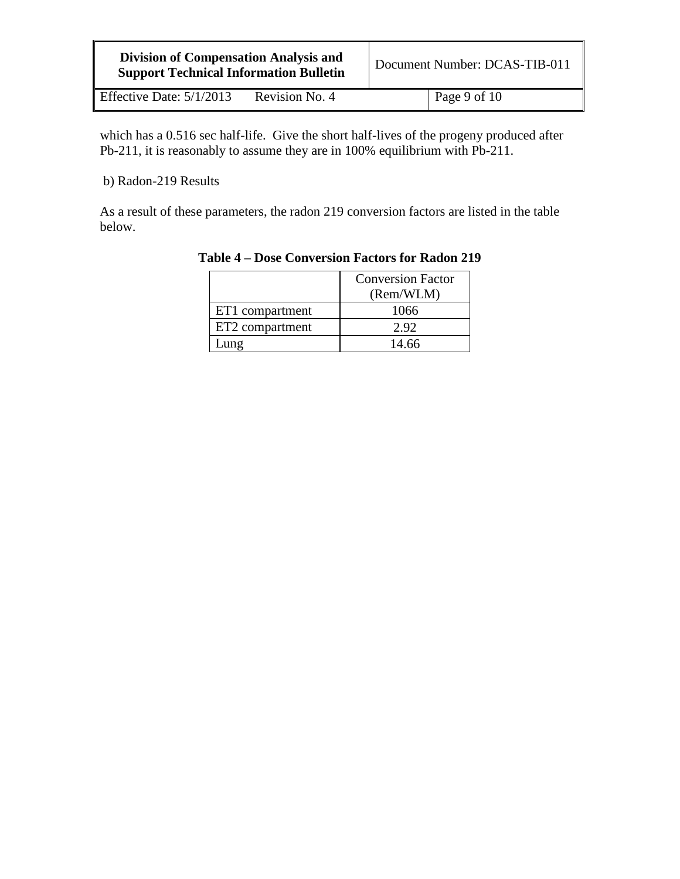| <b>Division of Compensation Analysis and</b><br><b>Support Technical Information Bulletin</b> |                | Document Number: DCAS-TIB-011 |                |
|-----------------------------------------------------------------------------------------------|----------------|-------------------------------|----------------|
| Effective Date: $5/1/2013$                                                                    | Revision No. 4 |                               | Page 9 of $10$ |

which has a 0.516 sec half-life. Give the short half-lives of the progeny produced after Pb-211, it is reasonably to assume they are in 100% equilibrium with Pb-211.

b) Radon-219 Results

h

As a result of these parameters, the radon 219 conversion factors are listed in the table below.

|                 | <b>Conversion Factor</b> |
|-----------------|--------------------------|
|                 | (Rem/WLM)                |
| ET1 compartment | 1066                     |
| ET2 compartment | 2.92                     |
| Jung            | 14.66                    |

### **Table 4 – Dose Conversion Factors for Radon 219**